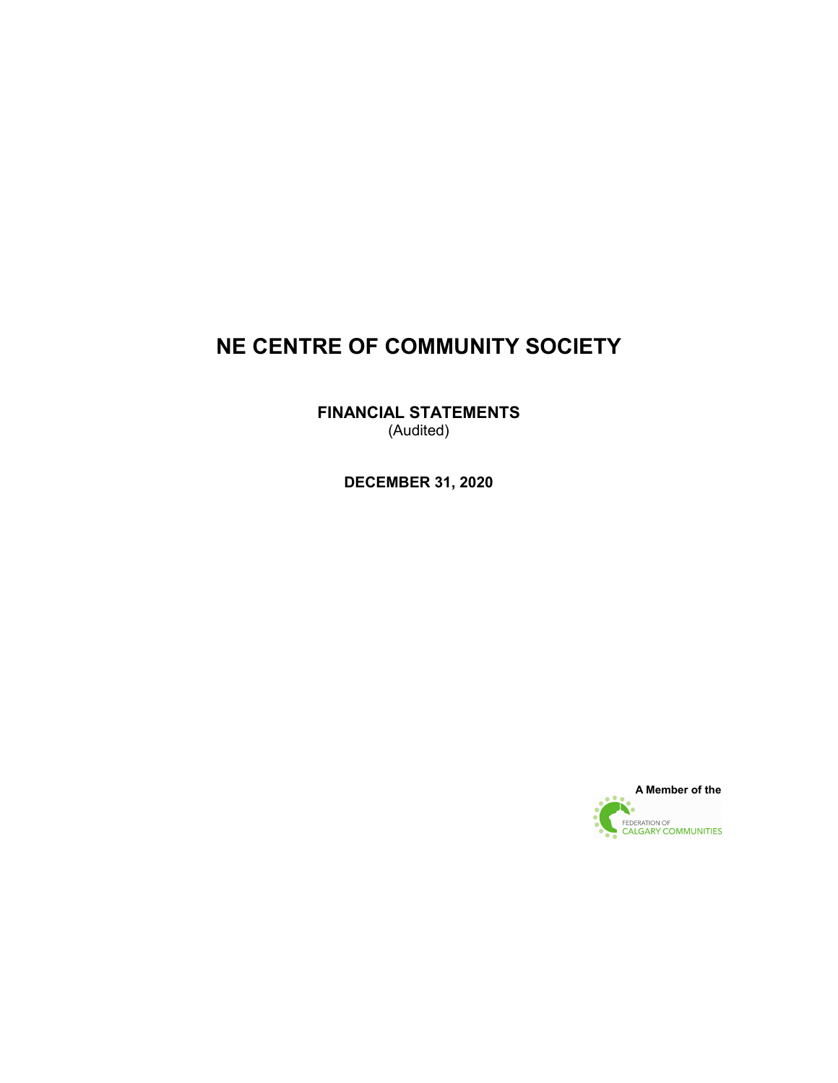**FINANCIAL STATEMENTS** (Audited)

**DECEMBER 31, 2020**

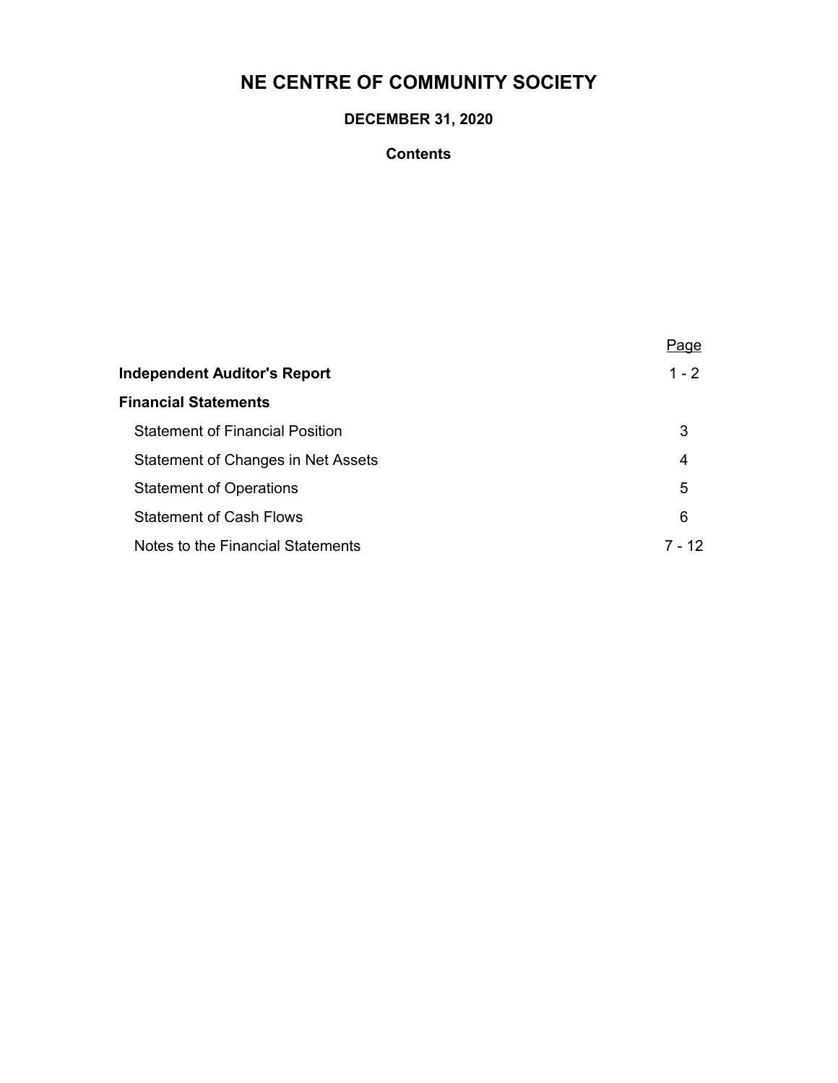## **DECEMBER 31, 2020**

## **Contents**

|                                        | Page      |
|----------------------------------------|-----------|
| Independent Auditor's Report           | $1 - 2$   |
| <b>Financial Statements</b>            |           |
| <b>Statement of Financial Position</b> | 3         |
| Statement of Changes in Net Assets     | 4         |
| <b>Statement of Operations</b>         | 5         |
| <b>Statement of Cash Flows</b>         | 6         |
| Notes to the Financial Statements      | 12<br>7 - |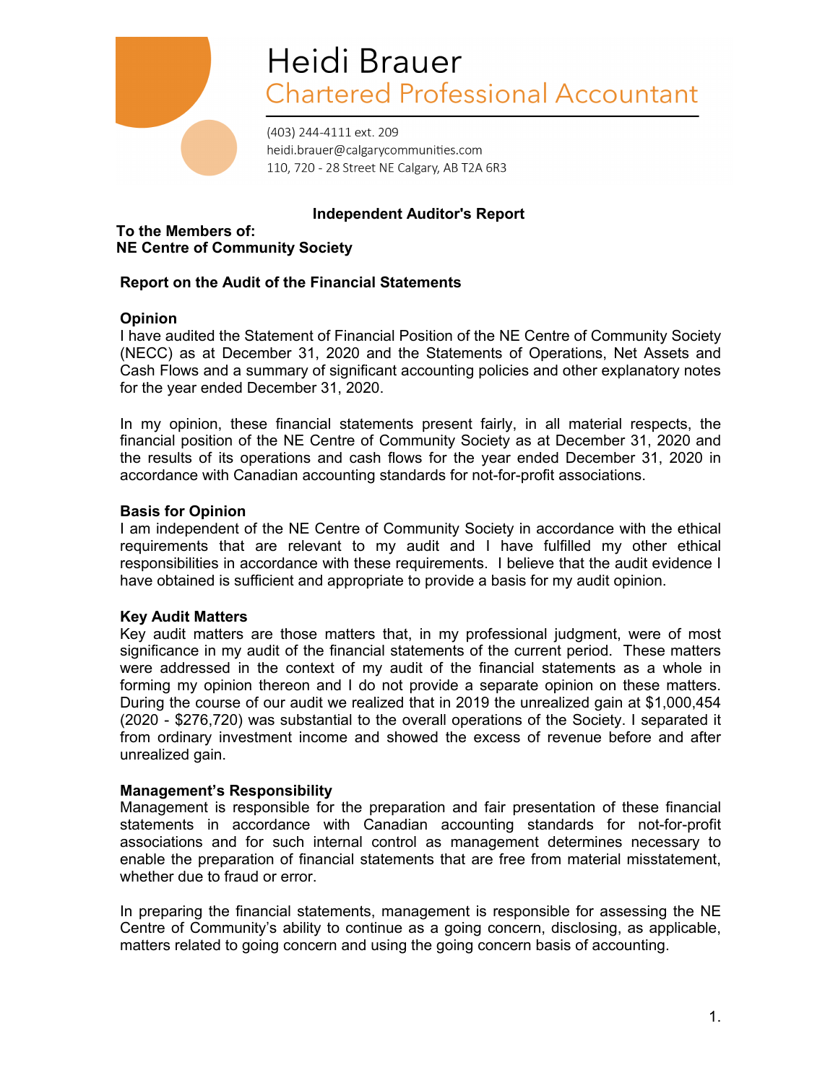

# Heidi Brauer **Chartered Professional Accountant**

(403) 244-4111 ext. 209 heidi.brauer@calgarycommunities.com 110, 720 - 28 Street NE Calgary, AB T2A 6R3

## **Independent Auditor's Report**

**To the Members of: NE Centre of Community Society**

## **Report on the Audit of the Financial Statements**

## **Opinion**

I have audited the Statement of Financial Position of the NE Centre of Community Society (NECC) as at December 31, 2020 and the Statements of Operations, Net Assets and Cash Flows and a summary of significant accounting policies and other explanatory notes for the year ended December 31, 2020.

In my opinion, these financial statements present fairly, in all material respects, the financial position of the NE Centre of Community Society as at December 31, 2020 and the results of its operations and cash flows for the year ended December 31, 2020 in accordance with Canadian accounting standards for not-for-profit associations.

## **Basis for Opinion**

I am independent of the NE Centre of Community Society in accordance with the ethical requirements that are relevant to my audit and I have fulfilled my other ethical responsibilities in accordance with these requirements. I believe that the audit evidence I have obtained is sufficient and appropriate to provide a basis for my audit opinion.

#### **Key Audit Matters**

Key audit matters are those matters that, in my professional judgment, were of most significance in my audit of the financial statements of the current period. These matters were addressed in the context of my audit of the financial statements as a whole in forming my opinion thereon and I do not provide a separate opinion on these matters. During the course of our audit we realized that in 2019 the unrealized gain at \$1,000,454 (2020 - \$276,720) was substantial to the overall operations of the Society. I separated it from ordinary investment income and showed the excess of revenue before and after unrealized gain.

## **Management's Responsibility**

Management is responsible for the preparation and fair presentation of these financial statements in accordance with Canadian accounting standards for not-for-profit associations and for such internal control as management determines necessary to enable the preparation of financial statements that are free from material misstatement, whether due to fraud or error.

In preparing the financial statements, management is responsible for assessing the NE Centre of Community's ability to continue as a going concern, disclosing, as applicable, matters related to going concern and using the going concern basis of accounting.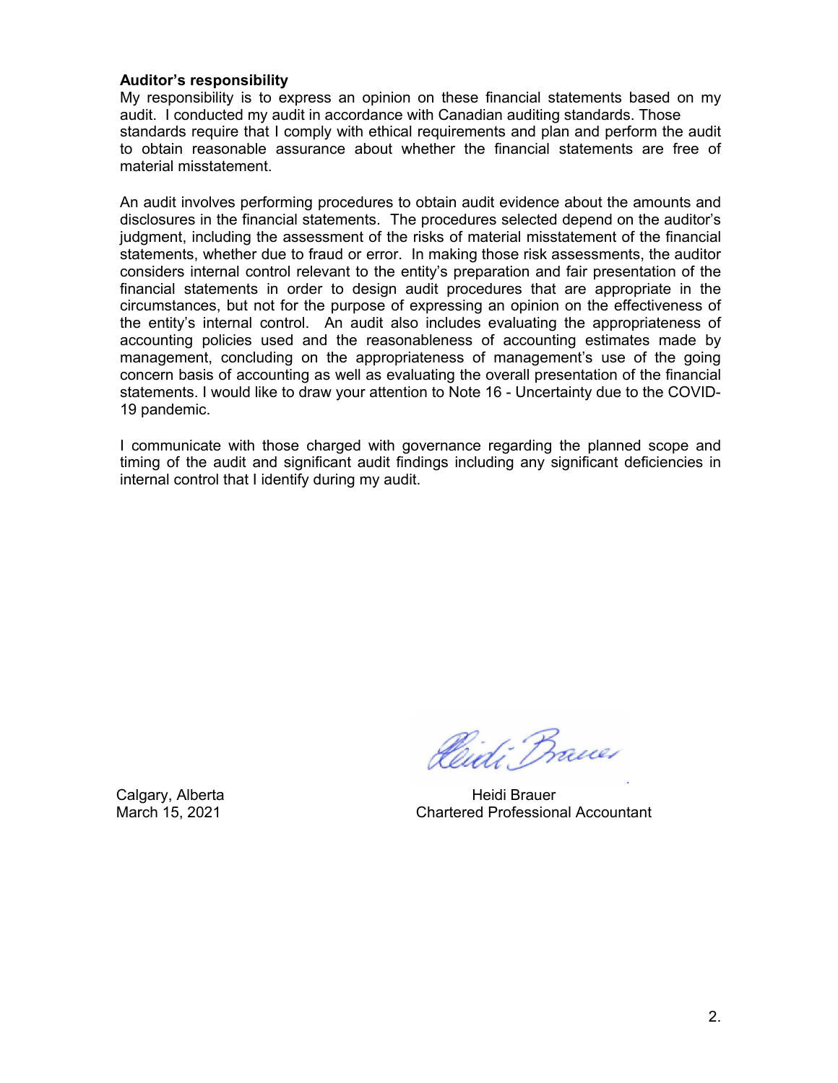#### **Auditor's responsibility**

My responsibility is to express an opinion on these financial statements based on my audit. I conducted my audit in accordance with Canadian auditing standards. Those standards require that I comply with ethical requirements and plan and perform the audit to obtain reasonable assurance about whether the financial statements are free of material misstatement.

An audit involves performing procedures to obtain audit evidence about the amounts and disclosures in the financial statements. The procedures selected depend on the auditor's judgment, including the assessment of the risks of material misstatement of the financial statements, whether due to fraud or error. In making those risk assessments, the auditor considers internal control relevant to the entity's preparation and fair presentation of the financial statements in order to design audit procedures that are appropriate in the circumstances, but not for the purpose of expressing an opinion on the effectiveness of the entity's internal control. An audit also includes evaluating the appropriateness of accounting policies used and the reasonableness of accounting estimates made by management, concluding on the appropriateness of management's use of the going concern basis of accounting as well as evaluating the overall presentation of the financial statements. I would like to draw your attention to Note 16 - Uncertainty due to the COVID-19 pandemic.

I communicate with those charged with governance regarding the planned scope and timing of the audit and significant audit findings including any significant deficiencies in internal control that I identify during my audit.

Pleidi Brauer

Calgary, Alberta **Heidi Brauer** Heidi Brauer March 15, 2021 Chartered Professional Accountant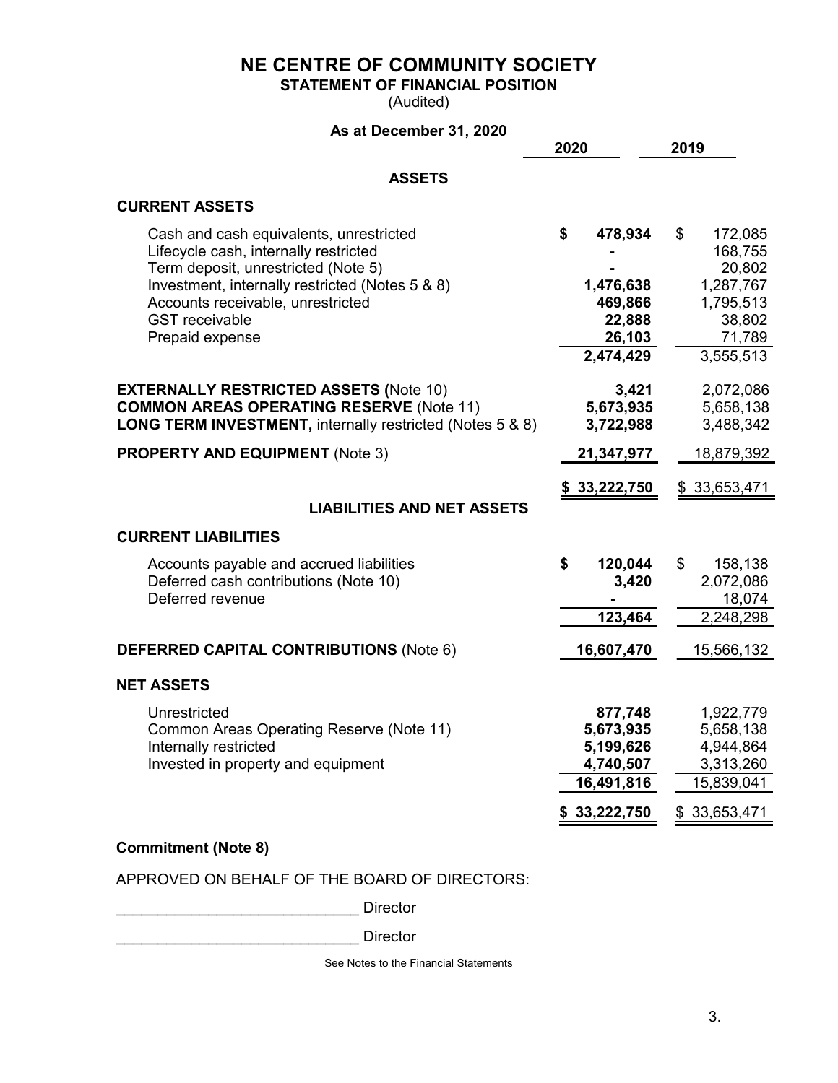**STATEMENT OF FINANCIAL POSITION**

(Audited)

## **As at December 31, 2020**

|                                                                                                                                                                                                                                                             | 2020                                                                         | 2019                                                                                          |
|-------------------------------------------------------------------------------------------------------------------------------------------------------------------------------------------------------------------------------------------------------------|------------------------------------------------------------------------------|-----------------------------------------------------------------------------------------------|
| <b>ASSETS</b>                                                                                                                                                                                                                                               |                                                                              |                                                                                               |
| <b>CURRENT ASSETS</b>                                                                                                                                                                                                                                       |                                                                              |                                                                                               |
| Cash and cash equivalents, unrestricted<br>Lifecycle cash, internally restricted<br>Term deposit, unrestricted (Note 5)<br>Investment, internally restricted (Notes 5 & 8)<br>Accounts receivable, unrestricted<br><b>GST</b> receivable<br>Prepaid expense | \$<br>478,934<br>1,476,638<br>469,866<br>22,888<br>26,103<br>2,474,429       | \$<br>172,085<br>168,755<br>20,802<br>1,287,767<br>1,795,513<br>38,802<br>71,789<br>3,555,513 |
| <b>EXTERNALLY RESTRICTED ASSETS (Note 10)</b><br><b>COMMON AREAS OPERATING RESERVE (Note 11)</b><br><b>LONG TERM INVESTMENT, internally restricted (Notes 5 &amp; 8)</b>                                                                                    | 3,421<br>5,673,935<br>3,722,988                                              | 2,072,086<br>5,658,138<br>3,488,342                                                           |
| <b>PROPERTY AND EQUIPMENT (Note 3)</b>                                                                                                                                                                                                                      | 21,347,977                                                                   | 18,879,392                                                                                    |
| <b>LIABILITIES AND NET ASSETS</b>                                                                                                                                                                                                                           | \$33,222,750                                                                 | \$33,653,471                                                                                  |
| <b>CURRENT LIABILITIES</b>                                                                                                                                                                                                                                  |                                                                              |                                                                                               |
| Accounts payable and accrued liabilities<br>Deferred cash contributions (Note 10)<br>Deferred revenue                                                                                                                                                       | \$<br>120,044<br>3,420<br>123,464                                            | \$<br>158,138<br>2,072,086<br>18,074<br>2,248,298                                             |
| <b>DEFERRED CAPITAL CONTRIBUTIONS (Note 6)</b>                                                                                                                                                                                                              | 16,607,470                                                                   | 15,566,132                                                                                    |
| <b>NET ASSETS</b>                                                                                                                                                                                                                                           |                                                                              |                                                                                               |
| Unrestricted<br>Common Areas Operating Reserve (Note 11)<br>Internally restricted<br>Invested in property and equipment                                                                                                                                     | 877,748<br>5,673,935<br>5,199,626<br>4,740,507<br>16,491,816<br>\$33,222,750 | 1,922,779<br>5,658,138<br>4,944,864<br>3,313,260<br>15,839,041<br>\$33,653,471                |
| <b>Commitment (Note 8)</b>                                                                                                                                                                                                                                  |                                                                              |                                                                                               |

APPROVED ON BEHALF OF THE BOARD OF DIRECTORS:

\_\_\_\_\_\_\_\_\_\_\_\_\_\_\_\_\_\_\_\_\_\_\_\_\_\_\_\_\_ Director

Director

See Notes to the Financial Statements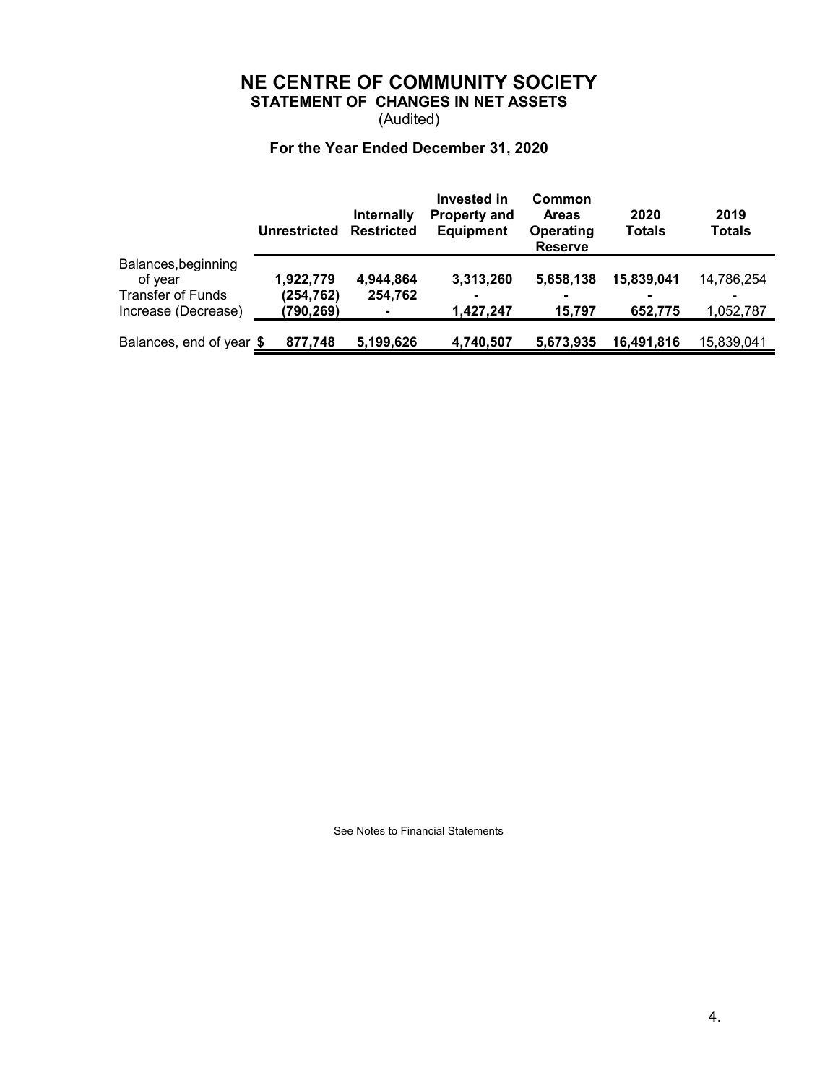**STATEMENT OF CHANGES IN NET ASSETS**

(Audited)

## **For the Year Ended December 31, 2020**

|                                | Unrestricted | Internally<br><b>Restricted</b> | Invested in<br><b>Property and</b><br><b>Equipment</b> | Common<br><b>Areas</b><br>Operating<br><b>Reserve</b> | 2020<br><b>Totals</b> | 2019<br><b>Totals</b> |
|--------------------------------|--------------|---------------------------------|--------------------------------------------------------|-------------------------------------------------------|-----------------------|-----------------------|
| Balances, beginning<br>of year | 1,922,779    | 4,944,864                       | 3,313,260                                              | 5,658,138                                             | 15.839.041            | 14,786,254            |
| <b>Transfer of Funds</b>       | (254,762)    | 254,762                         |                                                        |                                                       |                       |                       |
| Increase (Decrease)            | (790,269)    |                                 | 1,427,247                                              | 15,797                                                | 652,775               | 1,052,787             |
| Balances, end of year \$       | 877,748      | 5,199,626                       | 4,740,507                                              | 5,673,935                                             | 16,491,816            | 15,839,041            |

See Notes to Financial Statements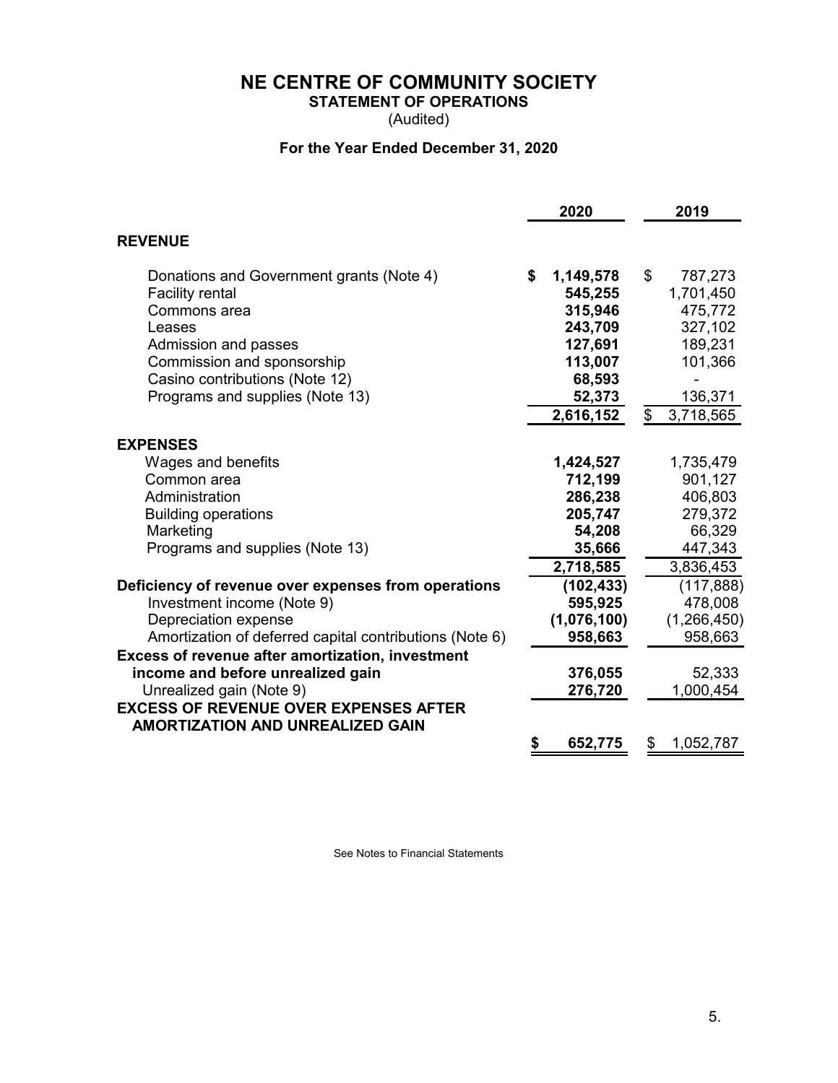**STATEMENT OF OPERATIONS**

(Audited)

## **For the Year Ended December 31, 2020**

|                                                                                         | 2020            | 2019            |
|-----------------------------------------------------------------------------------------|-----------------|-----------------|
| <b>REVENUE</b>                                                                          |                 |                 |
| Donations and Government grants (Note 4)                                                | \$<br>1,149,578 | \$<br>787,273   |
| <b>Facility rental</b>                                                                  | 545,255         | 1,701,450       |
| Commons area                                                                            | 315,946         | 475,772         |
| Leases                                                                                  | 243,709         | 327,102         |
| Admission and passes                                                                    | 127,691         | 189,231         |
| Commission and sponsorship                                                              | 113,007         | 101,366         |
| Casino contributions (Note 12)                                                          | 68,593          |                 |
| Programs and supplies (Note 13)                                                         | 52,373          | 136,371         |
|                                                                                         | 2,616,152       | \$<br>3,718,565 |
| <b>EXPENSES</b>                                                                         |                 |                 |
| Wages and benefits                                                                      | 1,424,527       | 1,735,479       |
| Common area                                                                             | 712,199         | 901,127         |
| Administration                                                                          | 286,238         | 406,803         |
| <b>Building operations</b>                                                              | 205,747         | 279,372         |
| Marketing                                                                               | 54,208          | 66,329          |
| Programs and supplies (Note 13)                                                         | 35,666          | 447,343         |
|                                                                                         | 2,718,585       | 3,836,453       |
| Deficiency of revenue over expenses from operations                                     | (102, 433)      | (117, 888)      |
| Investment income (Note 9)                                                              | 595,925         | 478,008         |
| Depreciation expense                                                                    | (1,076,100)     | (1, 266, 450)   |
| Amortization of deferred capital contributions (Note 6)                                 | 958,663         | 958,663         |
| Excess of revenue after amortization, investment                                        |                 |                 |
| income and before unrealized gain                                                       | 376,055         | 52,333          |
| Unrealized gain (Note 9)                                                                | 276,720         | 1,000,454       |
| <b>EXCESS OF REVENUE OVER EXPENSES AFTER</b><br><b>AMORTIZATION AND UNREALIZED GAIN</b> |                 |                 |
|                                                                                         | \$<br>652,775   | \$<br>1,052,787 |

See Notes to Financial Statements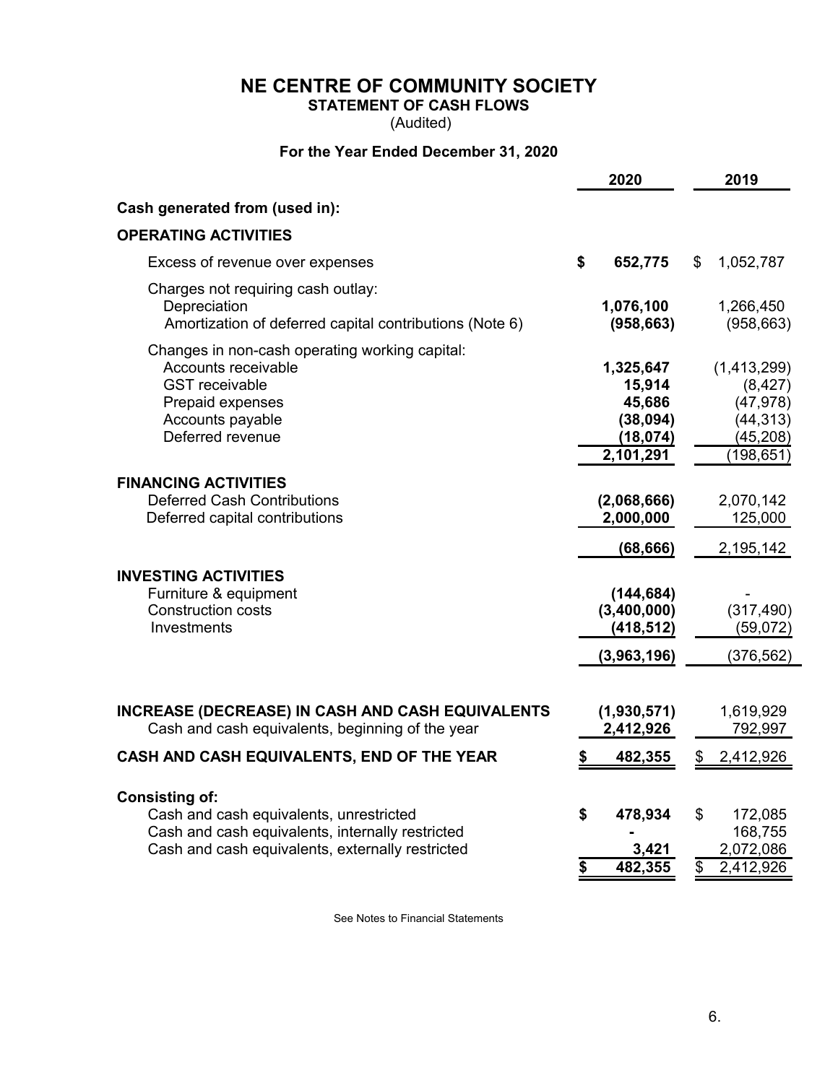**STATEMENT OF CASH FLOWS**

(Audited)

## **For the Year Ended December 31, 2020**

|                                                                                                                                                                          | 2020                                                                |                                                                                |  |
|--------------------------------------------------------------------------------------------------------------------------------------------------------------------------|---------------------------------------------------------------------|--------------------------------------------------------------------------------|--|
| Cash generated from (used in):                                                                                                                                           |                                                                     |                                                                                |  |
| <b>OPERATING ACTIVITIES</b>                                                                                                                                              |                                                                     |                                                                                |  |
| Excess of revenue over expenses                                                                                                                                          | \$<br>652,775                                                       | 1,052,787<br>S                                                                 |  |
| Charges not requiring cash outlay:<br>Depreciation<br>Amortization of deferred capital contributions (Note 6)                                                            | 1,076,100<br>(958, 663)                                             | 1,266,450<br>(958, 663)                                                        |  |
| Changes in non-cash operating working capital:<br>Accounts receivable<br><b>GST</b> receivable<br>Prepaid expenses<br>Accounts payable<br>Deferred revenue               | 1,325,647<br>15,914<br>45,686<br>(38,094)<br>(18, 074)<br>2,101,291 | (1, 413, 299)<br>(8, 427)<br>(47, 978)<br>(44, 313)<br>(45, 208)<br>(198, 651) |  |
| <b>FINANCING ACTIVITIES</b><br><b>Deferred Cash Contributions</b><br>Deferred capital contributions                                                                      | (2,068,666)<br>2,000,000                                            | 2,070,142<br>125,000                                                           |  |
| <b>INVESTING ACTIVITIES</b><br>Furniture & equipment<br><b>Construction costs</b><br>Investments                                                                         | (68, 666)<br>(144, 684)<br>(3,400,000)<br>(418, 512)<br>(3,963,196) | 2,195,142<br>(317, 490)<br>(59,072)<br>(376, 562)                              |  |
| <b>INCREASE (DECREASE) IN CASH AND CASH EQUIVALENTS</b><br>Cash and cash equivalents, beginning of the year<br>CASH AND CASH EQUIVALENTS, END OF THE YEAR                | (1,930,571)<br>2,412,926<br>482,355<br>\$                           | 1,619,929<br>792,997<br>2,412,926<br>\$                                        |  |
|                                                                                                                                                                          |                                                                     |                                                                                |  |
| <b>Consisting of:</b><br>Cash and cash equivalents, unrestricted<br>Cash and cash equivalents, internally restricted<br>Cash and cash equivalents, externally restricted | 478,934<br>\$<br>3,421<br>482,355<br>\$                             | \$<br>172,085<br>168,755<br>2,072,086<br>2,412,926<br>\$                       |  |

See Notes to Financial Statements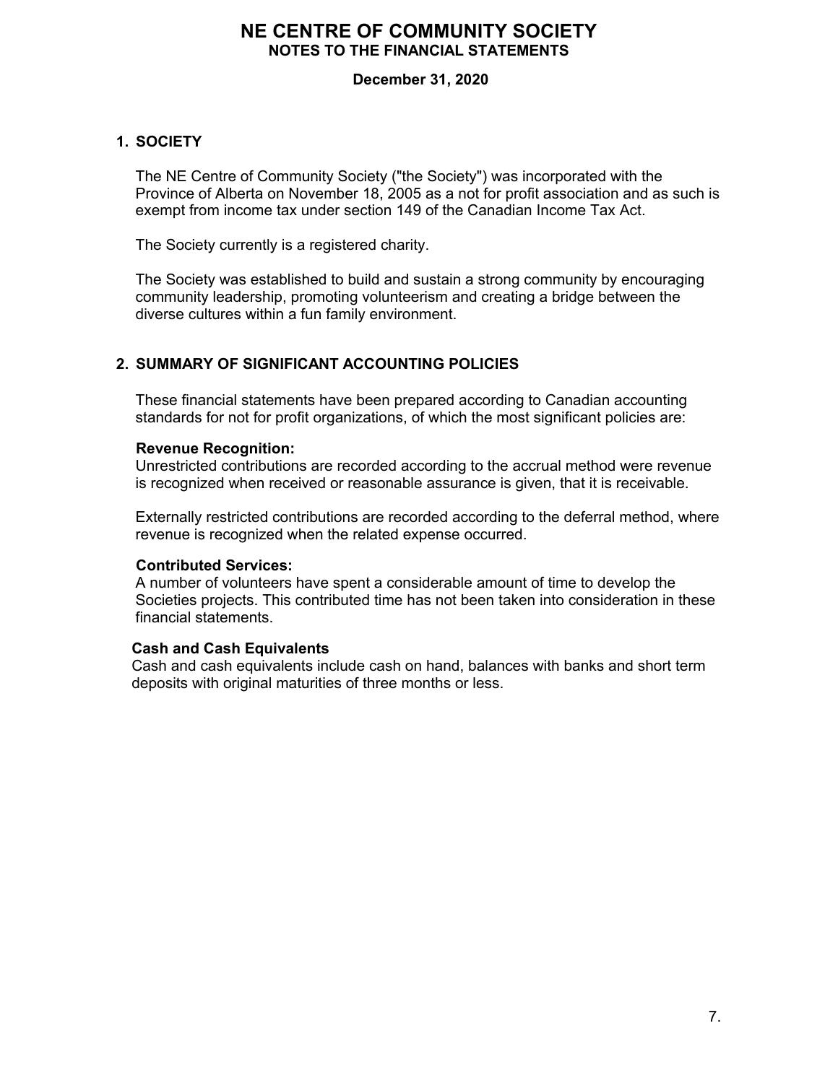## **December 31, 2020**

## **1. SOCIETY**

The NE Centre of Community Society ("the Society") was incorporated with the Province of Alberta on November 18, 2005 as a not for profit association and as such is exempt from income tax under section 149 of the Canadian Income Tax Act.

The Society currently is a registered charity.

The Society was established to build and sustain a strong community by encouraging community leadership, promoting volunteerism and creating a bridge between the diverse cultures within a fun family environment.

## **2. SUMMARY OF SIGNIFICANT ACCOUNTING POLICIES**

These financial statements have been prepared according to Canadian accounting standards for not for profit organizations, of which the most significant policies are:

#### **Revenue Recognition:**

Unrestricted contributions are recorded according to the accrual method were revenue is recognized when received or reasonable assurance is given, that it is receivable.

Externally restricted contributions are recorded according to the deferral method, where revenue is recognized when the related expense occurred.

#### **Contributed Services:**

A number of volunteers have spent a considerable amount of time to develop the Societies projects. This contributed time has not been taken into consideration in these financial statements.

#### **Cash and Cash Equivalents**

Cash and cash equivalents include cash on hand, balances with banks and short term deposits with original maturities of three months or less.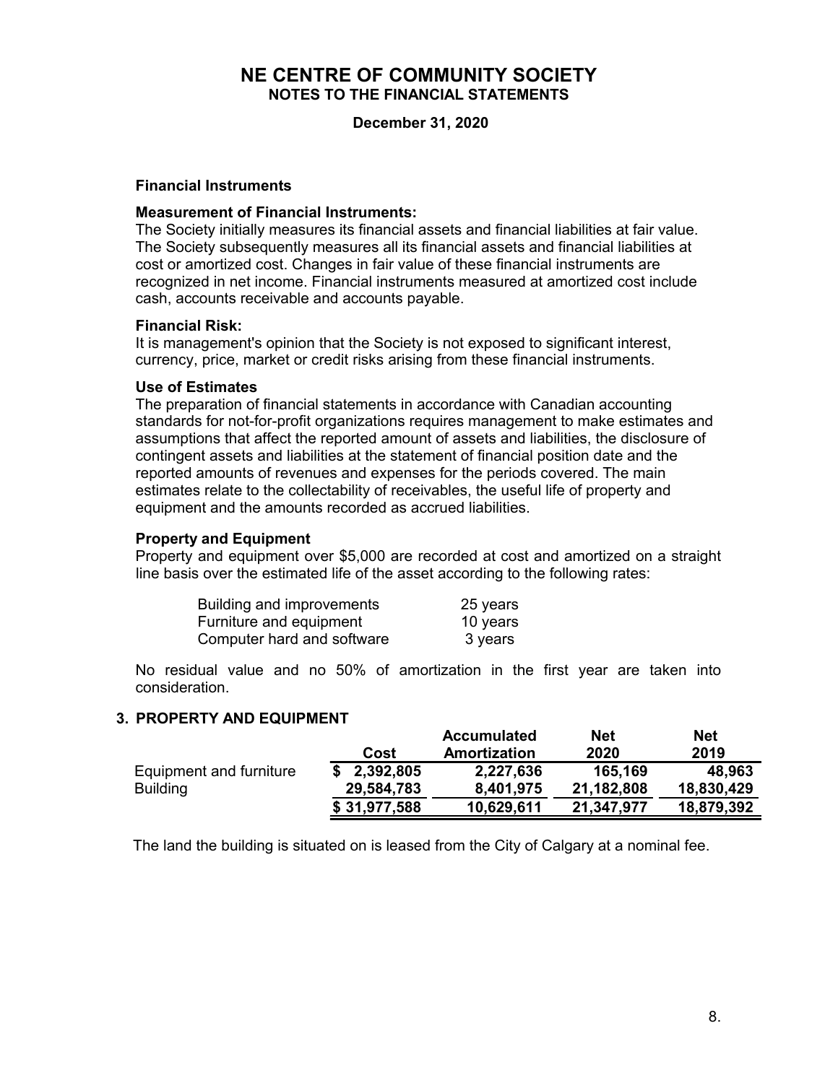**December 31, 2020**

#### **Financial Instruments**

#### **Measurement of Financial Instruments:**

The Society initially measures its financial assets and financial liabilities at fair value. The Society subsequently measures all its financial assets and financial liabilities at cost or amortized cost. Changes in fair value of these financial instruments are recognized in net income. Financial instruments measured at amortized cost include cash, accounts receivable and accounts payable.

#### **Financial Risk:**

It is management's opinion that the Society is not exposed to significant interest, currency, price, market or credit risks arising from these financial instruments.

#### **Use of Estimates**

The preparation of financial statements in accordance with Canadian accounting standards for not-for-profit organizations requires management to make estimates and assumptions that affect the reported amount of assets and liabilities, the disclosure of contingent assets and liabilities at the statement of financial position date and the reported amounts of revenues and expenses for the periods covered. The main estimates relate to the collectability of receivables, the useful life of property and equipment and the amounts recorded as accrued liabilities.

## **Property and Equipment**

Property and equipment over \$5,000 are recorded at cost and amortized on a straight line basis over the estimated life of the asset according to the following rates:

| Building and improvements  | 25 years |
|----------------------------|----------|
| Furniture and equipment    | 10 years |
| Computer hard and software | 3 years  |

No residual value and no 50% of amortization in the first year are taken into consideration.

#### **3. PROPERTY AND EQUIPMENT**

|                         |                 | <b>Accumulated</b> | <b>Net</b> | <b>Net</b> |
|-------------------------|-----------------|--------------------|------------|------------|
|                         | Cost            | Amortization       | 2020       | 2019       |
| Equipment and furniture | 2,392,805<br>\$ | 2,227,636          | 165,169    | 48,963     |
| <b>Building</b>         | 29,584,783      | 8,401,975          | 21,182,808 | 18,830,429 |
|                         | \$31,977,588    | 10,629,611         | 21,347,977 | 18,879,392 |

The land the building is situated on is leased from the City of Calgary at a nominal fee.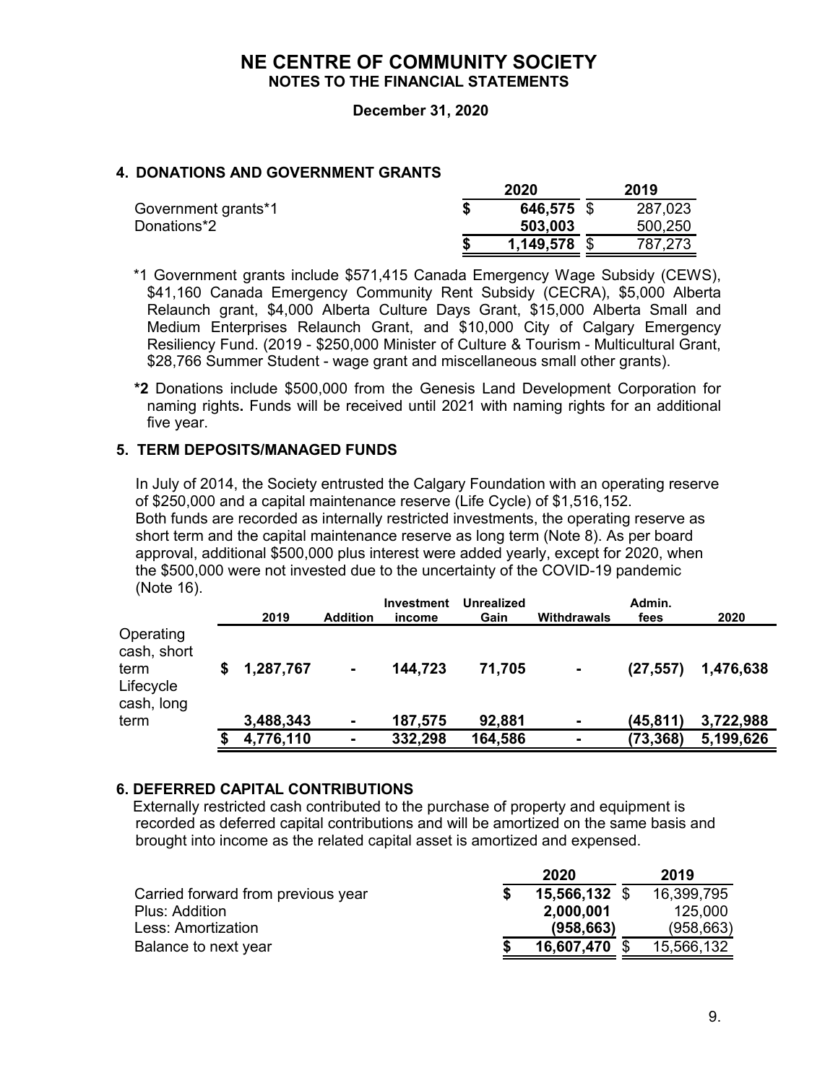#### **December 31, 2020**

## **4. DONATIONS AND GOVERNMENT GRANTS**

|                     | 2020           |  |         |  |
|---------------------|----------------|--|---------|--|
| Government grants*1 | 646,575 \$     |  | 287,023 |  |
| Donations*2         | 503,003        |  | 500,250 |  |
|                     | $1,149,578$ \$ |  | 787,273 |  |

 \*1 Government grants include \$571,415 Canada Emergency Wage Subsidy (CEWS), \$41,160 Canada Emergency Community Rent Subsidy (CECRA), \$5,000 Alberta Relaunch grant, \$4,000 Alberta Culture Days Grant, \$15,000 Alberta Small and Medium Enterprises Relaunch Grant, and \$10,000 City of Calgary Emergency Resiliency Fund. (2019 - \$250,000 Minister of Culture & Tourism - Multicultural Grant, \$28,766 Summer Student - wage grant and miscellaneous small other grants).

 **\*2** Donations include \$500,000 from the Genesis Land Development Corporation for naming rights**.** Funds will be received until 2021 with naming rights for an additional five year.

#### **5. TERM DEPOSITS/MANAGED FUNDS**

In July of 2014, the Society entrusted the Calgary Foundation with an operating reserve of \$250,000 and a capital maintenance reserve (Life Cycle) of \$1,516,152. Both funds are recorded as internally restricted investments, the operating reserve as short term and the capital maintenance reserve as long term (Note 8). As per board approval, additional \$500,000 plus interest were added yearly, except for 2020, when the \$500,000 were not invested due to the uncertainty of the COVID-19 pandemic (Note 16).

|                                                             | 2019      | <b>Addition</b> | <b>Investment</b><br>income | Unrealized<br>Gain | Withdrawals    | Admin.<br>fees | 2020      |
|-------------------------------------------------------------|-----------|-----------------|-----------------------------|--------------------|----------------|----------------|-----------|
| Operating<br>cash, short<br>term<br>Lifecycle<br>cash, long | 1,287,767 | $\blacksquare$  | 144,723                     | 71,705             | $\blacksquare$ | (27, 557)      | 1,476,638 |
| term                                                        | 3,488,343 | $\blacksquare$  | 187,575                     | 92,881             | $\blacksquare$ | (45,811)       | 3,722,988 |
|                                                             | 4,776,110 | $\blacksquare$  | 332,298                     | 164,586            | ۰              | (73, 368)      | 5,199,626 |

#### **6. DEFERRED CAPITAL CONTRIBUTIONS**

 Externally restricted cash contributed to the purchase of property and equipment is recorded as deferred capital contributions and will be amortized on the same basis and brought into income as the related capital asset is amortized and expensed.

|                                    | 2020          | 2019       |
|------------------------------------|---------------|------------|
| Carried forward from previous year | 15,566,132 \$ | 16,399,795 |
| Plus: Addition                     | 2,000,001     | 125,000    |
| Less: Amortization.                | (958, 663)    | (958, 663) |
| Balance to next year               | 16,607,470    | 15,566,132 |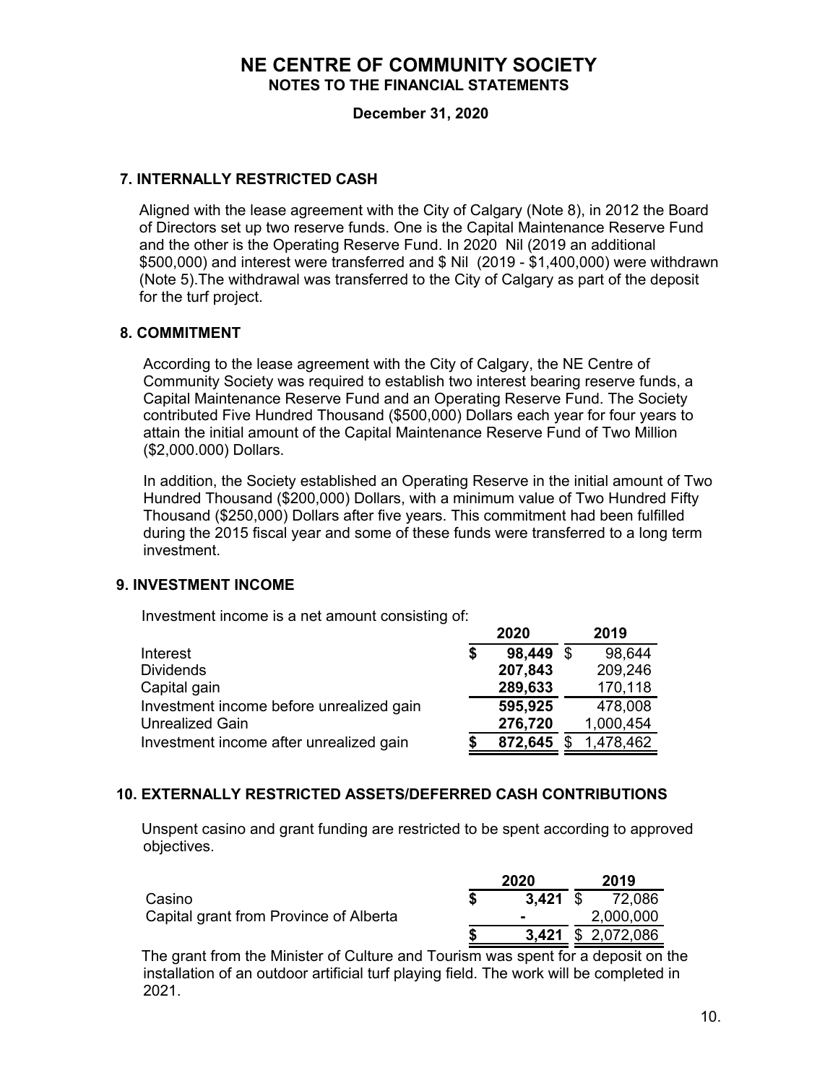**December 31, 2020**

## **7. INTERNALLY RESTRICTED CASH**

Aligned with the lease agreement with the City of Calgary (Note 8), in 2012 the Board of Directors set up two reserve funds. One is the Capital Maintenance Reserve Fund and the other is the Operating Reserve Fund. In 2020 Nil (2019 an additional \$500,000) and interest were transferred and \$ Nil (2019 - \$1,400,000) were withdrawn (Note 5).The withdrawal was transferred to the City of Calgary as part of the deposit for the turf project.

#### **8. COMMITMENT**

According to the lease agreement with the City of Calgary, the NE Centre of Community Society was required to establish two interest bearing reserve funds, a Capital Maintenance Reserve Fund and an Operating Reserve Fund. The Society contributed Five Hundred Thousand (\$500,000) Dollars each year for four years to attain the initial amount of the Capital Maintenance Reserve Fund of Two Million (\$2,000.000) Dollars.

In addition, the Society established an Operating Reserve in the initial amount of Two Hundred Thousand (\$200,000) Dollars, with a minimum value of Two Hundred Fifty Thousand (\$250,000) Dollars after five years. This commitment had been fulfilled during the 2015 fiscal year and some of these funds were transferred to a long term investment.

#### **9. INVESTMENT INCOME**

Investment income is a net amount consisting of:

|                                          | 2020            | 2019      |
|------------------------------------------|-----------------|-----------|
| Interest                                 | \$<br>98,449 \$ | 98,644    |
| <b>Dividends</b>                         | 207,843         | 209,246   |
| Capital gain                             | 289,633         | 170,118   |
| Investment income before unrealized gain | 595,925         | 478,008   |
| <b>Unrealized Gain</b>                   | 276,720         | 1,000,454 |
| Investment income after unrealized gain  | 872,645         | 1,478,462 |

## **10. EXTERNALLY RESTRICTED ASSETS/DEFERRED CASH CONTRIBUTIONS**

 Unspent casino and grant funding are restricted to be spent according to approved objectives.

|                                        | 2020           | 2019                      |
|----------------------------------------|----------------|---------------------------|
| Casino                                 | 3.421 S        | 72,086                    |
| Capital grant from Province of Alberta | $\blacksquare$ | 2,000,000                 |
|                                        |                | <b>3,421</b> \$ 2,072,086 |

 The grant from the Minister of Culture and Tourism was spent for a deposit on the installation of an outdoor artificial turf playing field. The work will be completed in 2021.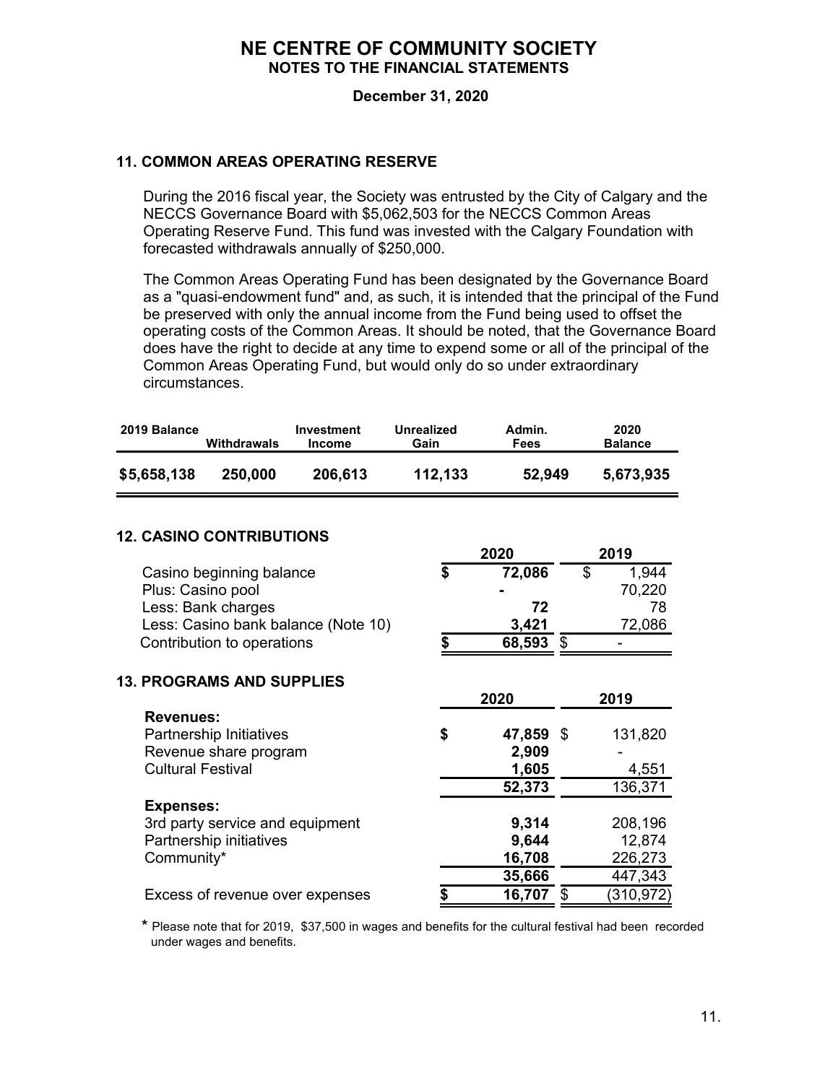**December 31, 2020**

## **11. COMMON AREAS OPERATING RESERVE**

During the 2016 fiscal year, the Society was entrusted by the City of Calgary and the NECCS Governance Board with \$5,062,503 for the NECCS Common Areas Operating Reserve Fund. This fund was invested with the Calgary Foundation with forecasted withdrawals annually of \$250,000.

The Common Areas Operating Fund has been designated by the Governance Board as a "quasi-endowment fund" and, as such, it is intended that the principal of the Fund be preserved with only the annual income from the Fund being used to offset the operating costs of the Common Areas. It should be noted, that the Governance Board does have the right to decide at any time to expend some or all of the principal of the Common Areas Operating Fund, but would only do so under extraordinary circumstances.

| 2019 Balance                                         | Withdrawals                                                                           | Investment<br><b>Income</b> | <b>Unrealized</b><br>Gain | Admin.<br><b>Fees</b>              |                                       | 2020<br><b>Balance</b>                  |  |
|------------------------------------------------------|---------------------------------------------------------------------------------------|-----------------------------|---------------------------|------------------------------------|---------------------------------------|-----------------------------------------|--|
| \$5,658,138                                          | 250,000<br>206,613                                                                    |                             | 112,133                   | 52,949                             |                                       | 5,673,935                               |  |
| <b>12. CASINO CONTRIBUTIONS</b>                      |                                                                                       |                             |                           | 2020                               |                                       | 2019                                    |  |
| Plus: Casino pool                                    | Casino beginning balance<br>Less: Bank charges<br>Less: Casino bank balance (Note 10) | \$                          | 72,086<br>72<br>3,421     |                                    | \$<br>1,944<br>70,220<br>78<br>72,086 |                                         |  |
|                                                      | Contribution to operations                                                            | \$                          | 68,593 \$                 |                                    |                                       |                                         |  |
| <b>13. PROGRAMS AND SUPPLIES</b><br><b>Revenues:</b> |                                                                                       |                             |                           | 2020                               |                                       | 2019                                    |  |
| <b>Cultural Festival</b>                             | Partnership Initiatives<br>Revenue share program                                      |                             | \$                        | 47,859<br>2,909<br>1,605<br>52,373 | \$                                    | 131,820<br>4,551<br>136,371             |  |
| <b>Expenses:</b><br>Community*                       | 3rd party service and equipment<br>Partnership initiatives                            |                             |                           | 9,314<br>9,644<br>16,708<br>35,666 |                                       | 208,196<br>12,874<br>226,273<br>447,343 |  |
|                                                      | Excess of revenue over expenses                                                       |                             | \$                        | 16,707                             | \$                                    | (310, 972)                              |  |

 **\*** Please note that for 2019, \$37,500 in wages and benefits for the cultural festival had been recorded under wages and benefits.